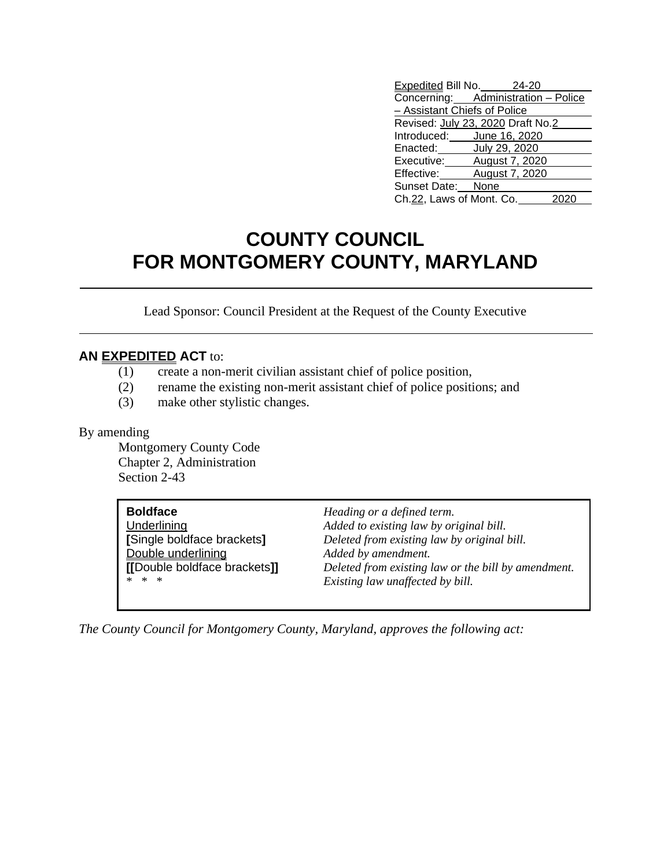| Expedited Bill No. 24-20            |                |  |
|-------------------------------------|----------------|--|
| Concerning: Administration - Police |                |  |
| - Assistant Chiefs of Police        |                |  |
| Revised: July 23, 2020 Draft No.2   |                |  |
| Introduced: June 16, 2020           |                |  |
| Enacted: July 29, 2020              |                |  |
| Executive: August 7, 2020           |                |  |
| Effective:                          | August 7, 2020 |  |
| Sunset Date: None                   |                |  |
| Ch.22, Laws of Mont. Co.            |                |  |

## **COUNTY COUNCIL FOR MONTGOMERY COUNTY, MARYLAND**

Lead Sponsor: Council President at the Request of the County Executive

## **AN EXPEDITED ACT** to:

- (1) create a non-merit civilian assistant chief of police position,
- (2) rename the existing non-merit assistant chief of police positions; and
- (3) make other stylistic changes.

## By amending

Montgomery County Code Chapter 2, Administration Section 2-43

| <b>Boldface</b>              | Heading or a defined term.                          |
|------------------------------|-----------------------------------------------------|
| Underlining                  | Added to existing law by original bill.             |
| [Single boldface brackets]   | Deleted from existing law by original bill.         |
| Double underlining           | Added by amendment.                                 |
| [[Double boldface brackets]] | Deleted from existing law or the bill by amendment. |
| * * *                        | Existing law unaffected by bill.                    |
|                              |                                                     |

*The County Council for Montgomery County, Maryland, approves the following act:*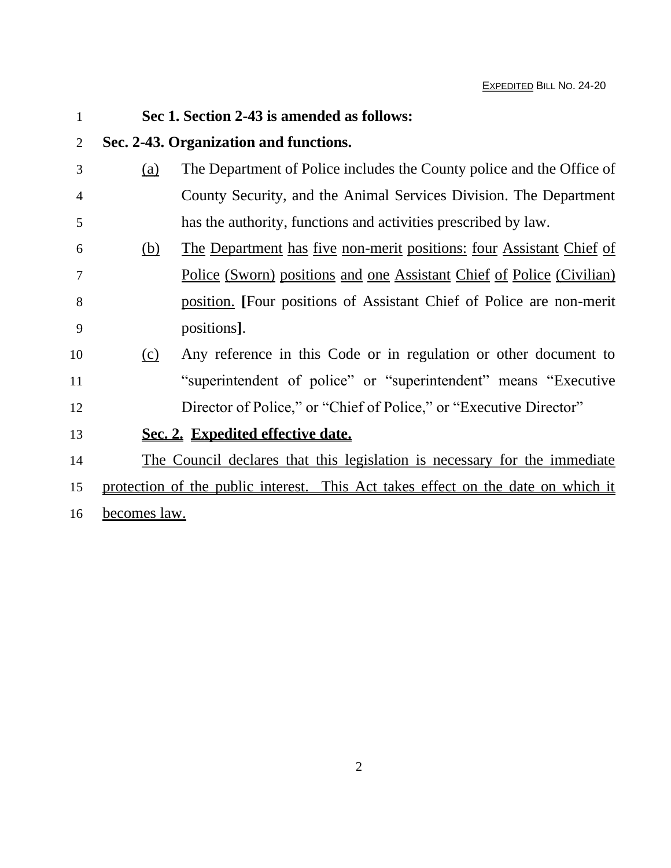| $\mathbf{1}$ |                     | Sec 1. Section 2-43 is amended as follows:                                       |  |
|--------------|---------------------|----------------------------------------------------------------------------------|--|
| 2            |                     | Sec. 2-43. Organization and functions.                                           |  |
| 3            | (a)                 | The Department of Police includes the County police and the Office of            |  |
| 4            |                     | County Security, and the Animal Services Division. The Department                |  |
| 5            |                     | has the authority, functions and activities prescribed by law.                   |  |
| 6            | <u>(b)</u>          | The Department has five non-merit positions: four Assistant Chief of             |  |
| 7            |                     | <u>Police (Sworn) positions and one Assistant Chief of Police (Civilian)</u>     |  |
| 8            |                     | position. [Four positions of Assistant Chief of Police are non-merit             |  |
| 9            |                     | positions.                                                                       |  |
| 10           | (c)                 | Any reference in this Code or in regulation or other document to                 |  |
| 11           |                     | "superintendent of police" or "superintendent" means "Executive"                 |  |
| 12           |                     | Director of Police," or "Chief of Police," or "Executive Director"               |  |
| 13           |                     | Sec. 2. Expedited effective date.                                                |  |
| 14           |                     | The Council declares that this legislation is necessary for the immediate        |  |
| 15           |                     | protection of the public interest. This Act takes effect on the date on which it |  |
| 16           | <u>becomes law.</u> |                                                                                  |  |